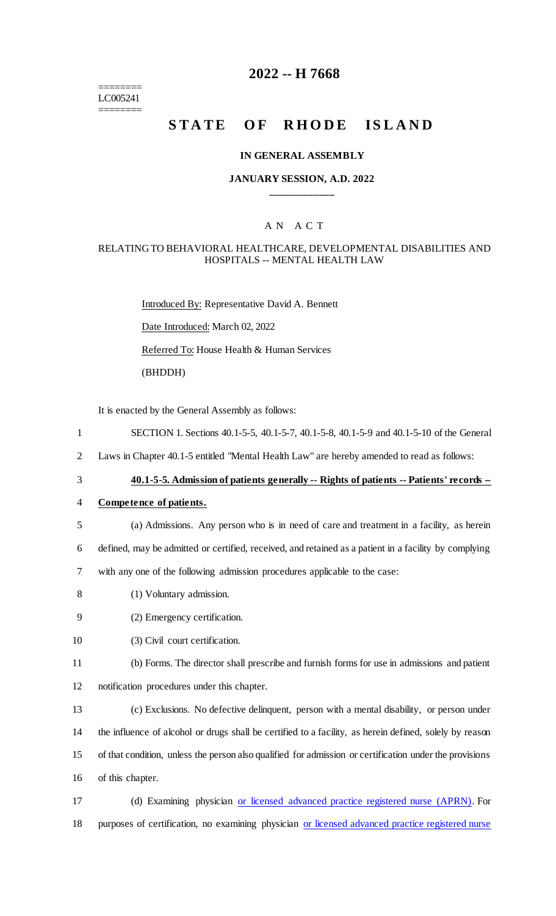======== LC005241 ========

## **2022 -- H 7668**

# **STATE OF RHODE ISLAND**

#### **IN GENERAL ASSEMBLY**

#### **JANUARY SESSION, A.D. 2022 \_\_\_\_\_\_\_\_\_\_\_\_**

## A N A C T

#### RELATING TO BEHAVIORAL HEALTHCARE, DEVELOPMENTAL DISABILITIES AND HOSPITALS -- MENTAL HEALTH LAW

Introduced By: Representative David A. Bennett Date Introduced: March 02, 2022 Referred To: House Health & Human Services (BHDDH)

It is enacted by the General Assembly as follows:

- 1 SECTION 1. Sections 40.1-5-5, 40.1-5-7, 40.1-5-8, 40.1-5-9 and 40.1-5-10 of the General
- 2 Laws in Chapter 40.1-5 entitled "Mental Health Law" are hereby amended to read as follows:
- 

## 3 **40.1-5-5. Admission of patients generally -- Rights of patients -- Patients' records --**

#### 4 **Competence of patients.**

5 (a) Admissions. Any person who is in need of care and treatment in a facility, as herein

6 defined, may be admitted or certified, received, and retained as a patient in a facility by complying

7 with any one of the following admission procedures applicable to the case:

- 8 (1) Voluntary admission.
- 9 (2) Emergency certification.
- 10 (3) Civil court certification.

11 (b) Forms. The director shall prescribe and furnish forms for use in admissions and patient 12 notification procedures under this chapter.

 (c) Exclusions. No defective delinquent, person with a mental disability, or person under the influence of alcohol or drugs shall be certified to a facility, as herein defined, solely by reason of that condition, unless the person also qualified for admission or certification under the provisions of this chapter.

17 (d) Examining physician or licensed advanced practice registered nurse (APRN). For 18 purposes of certification, no examining physician or licensed advanced practice registered nurse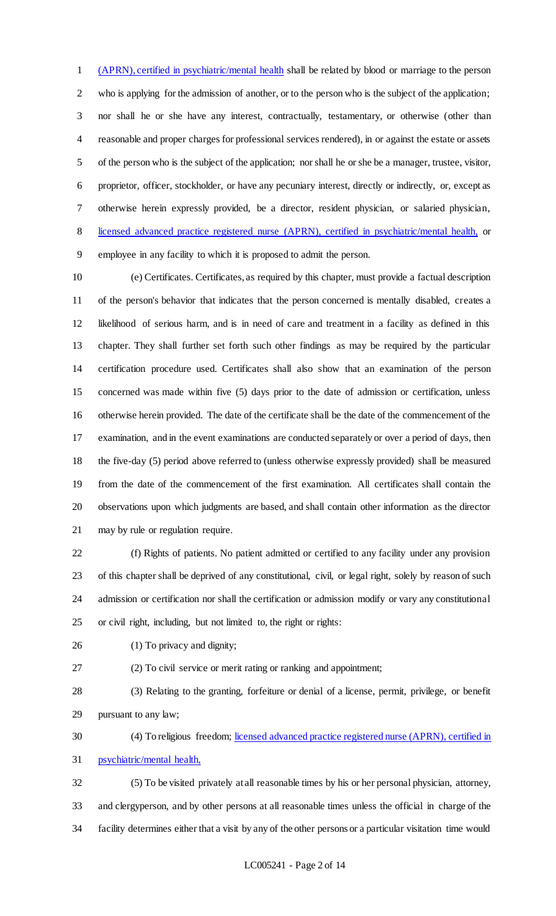(APRN), certified in psychiatric/mental health shall be related by blood or marriage to the person who is applying for the admission of another, or to the person who is the subject of the application; nor shall he or she have any interest, contractually, testamentary, or otherwise (other than reasonable and proper charges for professional services rendered), in or against the estate or assets of the person who is the subject of the application; nor shall he or she be a manager, trustee, visitor, proprietor, officer, stockholder, or have any pecuniary interest, directly or indirectly, or, except as otherwise herein expressly provided, be a director, resident physician, or salaried physician, licensed advanced practice registered nurse (APRN), certified in psychiatric/mental health, or employee in any facility to which it is proposed to admit the person.

 (e) Certificates. Certificates, as required by this chapter, must provide a factual description of the person's behavior that indicates that the person concerned is mentally disabled, creates a likelihood of serious harm, and is in need of care and treatment in a facility as defined in this chapter. They shall further set forth such other findings as may be required by the particular certification procedure used. Certificates shall also show that an examination of the person concerned was made within five (5) days prior to the date of admission or certification, unless otherwise herein provided. The date of the certificate shall be the date of the commencement of the examination, and in the event examinations are conducted separately or over a period of days, then the five-day (5) period above referred to (unless otherwise expressly provided) shall be measured from the date of the commencement of the first examination. All certificates shall contain the observations upon which judgments are based, and shall contain other information as the director may by rule or regulation require.

 (f) Rights of patients. No patient admitted or certified to any facility under any provision of this chapter shall be deprived of any constitutional, civil, or legal right, solely by reason of such admission or certification nor shall the certification or admission modify or vary any constitutional or civil right, including, but not limited to, the right or rights:

(1) To privacy and dignity;

(2) To civil service or merit rating or ranking and appointment;

 (3) Relating to the granting, forfeiture or denial of a license, permit, privilege, or benefit pursuant to any law;

30 (4) To religious freedom; licensed advanced practice registered nurse (APRN), certified in psychiatric/mental health,

 (5) To be visited privately at all reasonable times by his or her personal physician, attorney, and clergyperson, and by other persons at all reasonable times unless the official in charge of the facility determines either that a visit by any of the other persons or a particular visitation time would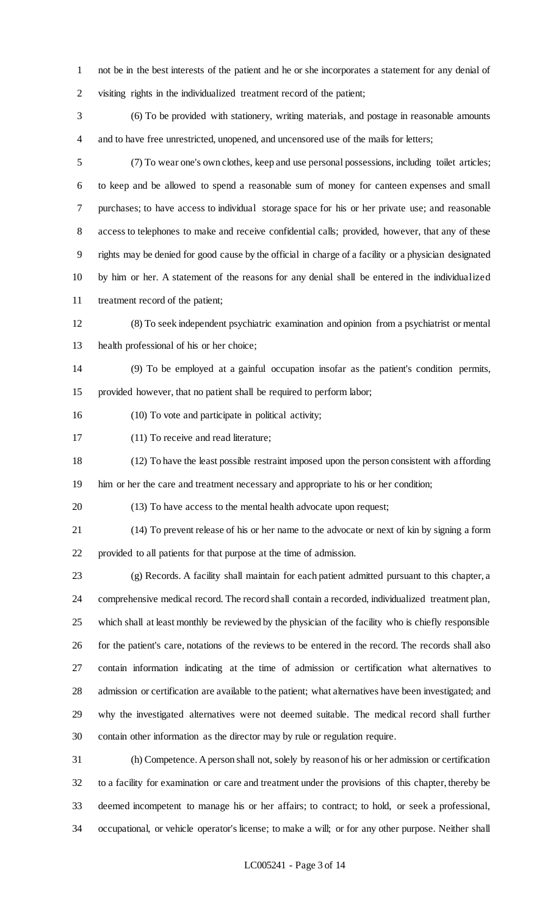not be in the best interests of the patient and he or she incorporates a statement for any denial of visiting rights in the individualized treatment record of the patient;

 (6) To be provided with stationery, writing materials, and postage in reasonable amounts and to have free unrestricted, unopened, and uncensored use of the mails for letters;

 (7) To wear one's own clothes, keep and use personal possessions, including toilet articles; to keep and be allowed to spend a reasonable sum of money for canteen expenses and small purchases; to have access to individual storage space for his or her private use; and reasonable access to telephones to make and receive confidential calls; provided, however, that any of these rights may be denied for good cause by the official in charge of a facility or a physician designated by him or her. A statement of the reasons for any denial shall be entered in the individualized treatment record of the patient;

 (8) To seek independent psychiatric examination and opinion from a psychiatrist or mental health professional of his or her choice;

 (9) To be employed at a gainful occupation insofar as the patient's condition permits, provided however, that no patient shall be required to perform labor;

(10) To vote and participate in political activity;

(11) To receive and read literature;

 (12) To have the least possible restraint imposed upon the person consistent with affording him or her the care and treatment necessary and appropriate to his or her condition;

(13) To have access to the mental health advocate upon request;

 (14) To prevent release of his or her name to the advocate or next of kin by signing a form provided to all patients for that purpose at the time of admission.

 (g) Records. A facility shall maintain for each patient admitted pursuant to this chapter, a comprehensive medical record. The record shall contain a recorded, individualized treatment plan, which shall at least monthly be reviewed by the physician of the facility who is chiefly responsible for the patient's care, notations of the reviews to be entered in the record. The records shall also contain information indicating at the time of admission or certification what alternatives to admission or certification are available to the patient; what alternatives have been investigated; and why the investigated alternatives were not deemed suitable. The medical record shall further contain other information as the director may by rule or regulation require.

 (h) Competence. A person shall not, solely by reason of his or her admission or certification to a facility for examination or care and treatment under the provisions of this chapter, thereby be deemed incompetent to manage his or her affairs; to contract; to hold, or seek a professional, occupational, or vehicle operator's license; to make a will; or for any other purpose. Neither shall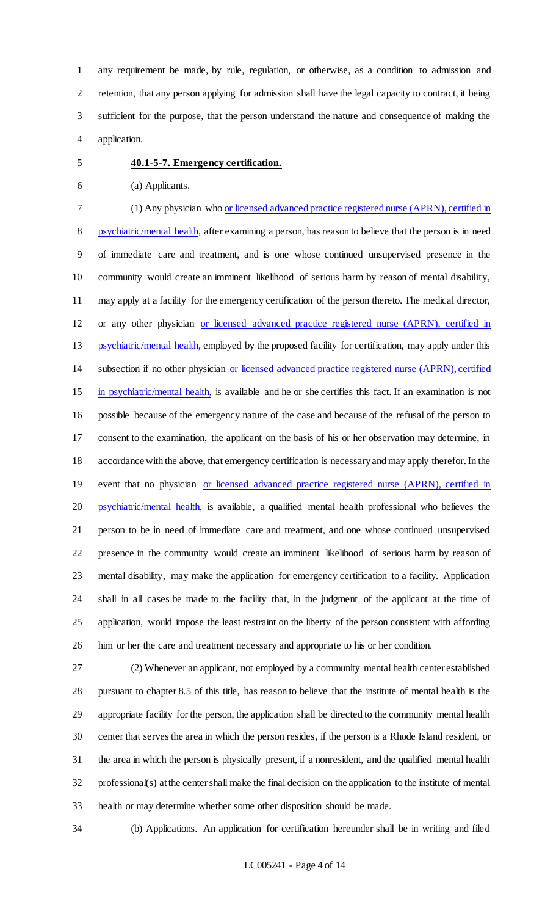any requirement be made, by rule, regulation, or otherwise, as a condition to admission and retention, that any person applying for admission shall have the legal capacity to contract, it being sufficient for the purpose, that the person understand the nature and consequence of making the application.

#### **40.1-5-7. Emergency certification.**

- (a) Applicants.
- (1) Any physician who or licensed advanced practice registered nurse (APRN), certified in

 psychiatric/mental health, after examining a person, has reason to believe that the person is in need of immediate care and treatment, and is one whose continued unsupervised presence in the community would create an imminent likelihood of serious harm by reason of mental disability, may apply at a facility for the emergency certification of the person thereto. The medical director, or any other physician or licensed advanced practice registered nurse (APRN), certified in 13 psychiatric/mental health, employed by the proposed facility for certification, may apply under this subsection if no other physician or licensed advanced practice registered nurse (APRN), certified

 in psychiatric/mental health, is available and he or she certifies this fact. If an examination is not possible because of the emergency nature of the case and because of the refusal of the person to consent to the examination, the applicant on the basis of his or her observation may determine, in accordance with the above, that emergency certification is necessary and may apply therefor. In the 19 event that no physician or licensed advanced practice registered nurse (APRN), certified in 20 psychiatric/mental health, is available, a qualified mental health professional who believes the person to be in need of immediate care and treatment, and one whose continued unsupervised presence in the community would create an imminent likelihood of serious harm by reason of mental disability, may make the application for emergency certification to a facility. Application shall in all cases be made to the facility that, in the judgment of the applicant at the time of application, would impose the least restraint on the liberty of the person consistent with affording him or her the care and treatment necessary and appropriate to his or her condition.

 (2) Whenever an applicant, not employed by a community mental health center established pursuant to chapter 8.5 of this title, has reason to believe that the institute of mental health is the appropriate facility for the person, the application shall be directed to the community mental health center that serves the area in which the person resides, if the person is a Rhode Island resident, or the area in which the person is physically present, if a nonresident, and the qualified mental health professional(s) at the center shall make the final decision on the application to the institute of mental health or may determine whether some other disposition should be made.

(b) Applications. An application for certification hereunder shall be in writing and filed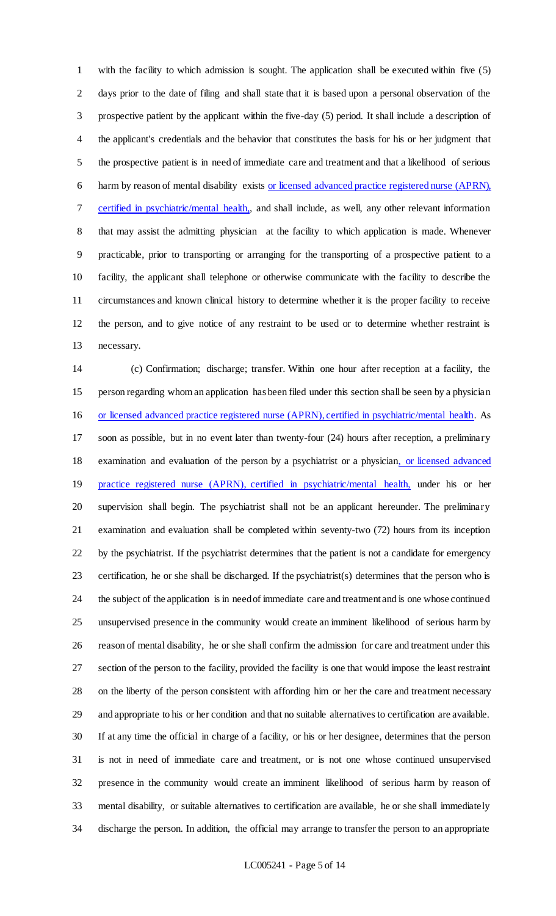with the facility to which admission is sought. The application shall be executed within five (5) days prior to the date of filing and shall state that it is based upon a personal observation of the prospective patient by the applicant within the five-day (5) period. It shall include a description of the applicant's credentials and the behavior that constitutes the basis for his or her judgment that the prospective patient is in need of immediate care and treatment and that a likelihood of serious harm by reason of mental disability exists or licensed advanced practice registered nurse (APRN), certified in psychiatric/mental health,, and shall include, as well, any other relevant information that may assist the admitting physician at the facility to which application is made. Whenever practicable, prior to transporting or arranging for the transporting of a prospective patient to a facility, the applicant shall telephone or otherwise communicate with the facility to describe the circumstances and known clinical history to determine whether it is the proper facility to receive the person, and to give notice of any restraint to be used or to determine whether restraint is necessary.

 (c) Confirmation; discharge; transfer. Within one hour after reception at a facility, the person regarding whom an application has been filed under this section shall be seen by a physician or licensed advanced practice registered nurse (APRN), certified in psychiatric/mental health. As soon as possible, but in no event later than twenty-four (24) hours after reception, a preliminary 18 examination and evaluation of the person by a psychiatrist or a physician, or licensed advanced 19 practice registered nurse (APRN), certified in psychiatric/mental health, under his or her supervision shall begin. The psychiatrist shall not be an applicant hereunder. The preliminary examination and evaluation shall be completed within seventy-two (72) hours from its inception by the psychiatrist. If the psychiatrist determines that the patient is not a candidate for emergency certification, he or she shall be discharged. If the psychiatrist(s) determines that the person who is the subject of the application is in need of immediate care and treatment and is one whose continued unsupervised presence in the community would create an imminent likelihood of serious harm by reason of mental disability, he or she shall confirm the admission for care and treatment under this section of the person to the facility, provided the facility is one that would impose the least restraint on the liberty of the person consistent with affording him or her the care and treatment necessary and appropriate to his or her condition and that no suitable alternatives to certification are available. If at any time the official in charge of a facility, or his or her designee, determines that the person is not in need of immediate care and treatment, or is not one whose continued unsupervised presence in the community would create an imminent likelihood of serious harm by reason of mental disability, or suitable alternatives to certification are available, he or she shall immediately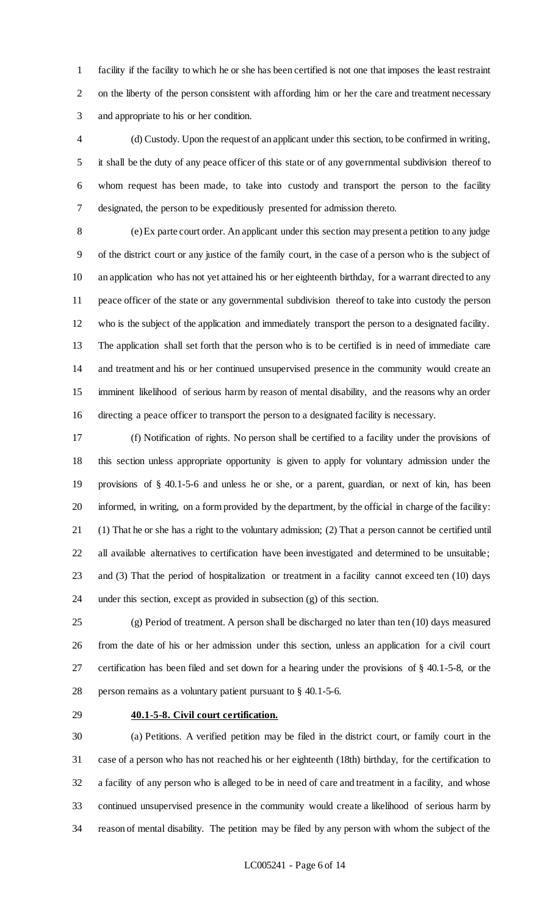facility if the facility to which he or she has been certified is not one that imposes the least restraint on the liberty of the person consistent with affording him or her the care and treatment necessary and appropriate to his or her condition.

 (d) Custody. Upon the request of an applicant under this section, to be confirmed in writing, it shall be the duty of any peace officer of this state or of any governmental subdivision thereof to whom request has been made, to take into custody and transport the person to the facility designated, the person to be expeditiously presented for admission thereto.

 (e) Ex parte court order. An applicant under this section may present a petition to any judge of the district court or any justice of the family court, in the case of a person who is the subject of an application who has not yet attained his or her eighteenth birthday, for a warrant directed to any peace officer of the state or any governmental subdivision thereof to take into custody the person who is the subject of the application and immediately transport the person to a designated facility. The application shall set forth that the person who is to be certified is in need of immediate care and treatment and his or her continued unsupervised presence in the community would create an imminent likelihood of serious harm by reason of mental disability, and the reasons why an order directing a peace officer to transport the person to a designated facility is necessary.

 (f) Notification of rights. No person shall be certified to a facility under the provisions of this section unless appropriate opportunity is given to apply for voluntary admission under the provisions of § 40.1-5-6 and unless he or she, or a parent, guardian, or next of kin, has been informed, in writing, on a form provided by the department, by the official in charge of the facility: (1) That he or she has a right to the voluntary admission; (2) That a person cannot be certified until all available alternatives to certification have been investigated and determined to be unsuitable; and (3) That the period of hospitalization or treatment in a facility cannot exceed ten (10) days under this section, except as provided in subsection (g) of this section.

 (g) Period of treatment. A person shall be discharged no later than ten (10) days measured from the date of his or her admission under this section, unless an application for a civil court certification has been filed and set down for a hearing under the provisions of § 40.1-5-8, or the person remains as a voluntary patient pursuant to § 40.1-5-6.

#### **40.1-5-8. Civil court certification.**

 (a) Petitions. A verified petition may be filed in the district court, or family court in the case of a person who has not reached his or her eighteenth (18th) birthday, for the certification to a facility of any person who is alleged to be in need of care and treatment in a facility, and whose continued unsupervised presence in the community would create a likelihood of serious harm by reason of mental disability. The petition may be filed by any person with whom the subject of the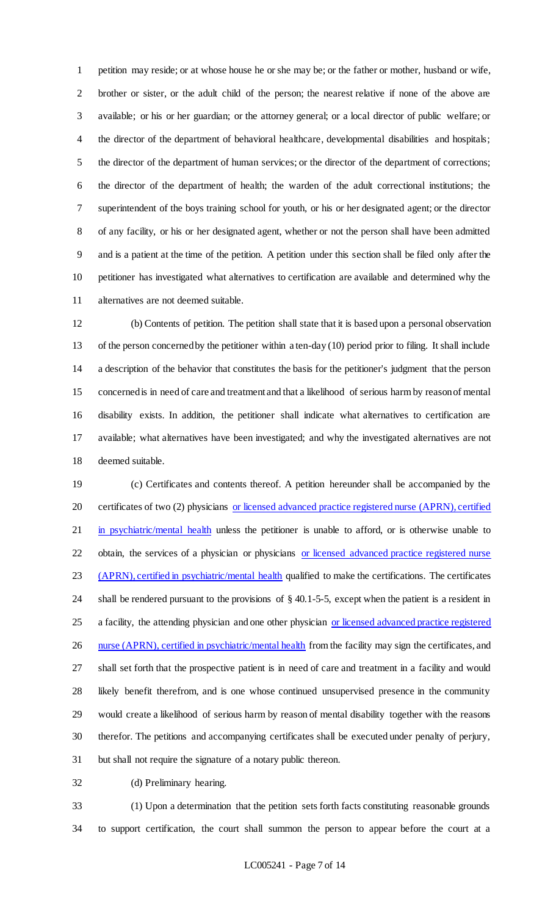petition may reside; or at whose house he or she may be; or the father or mother, husband or wife, brother or sister, or the adult child of the person; the nearest relative if none of the above are available; or his or her guardian; or the attorney general; or a local director of public welfare; or the director of the department of behavioral healthcare, developmental disabilities and hospitals; the director of the department of human services; or the director of the department of corrections; the director of the department of health; the warden of the adult correctional institutions; the superintendent of the boys training school for youth, or his or her designated agent; or the director of any facility, or his or her designated agent, whether or not the person shall have been admitted and is a patient at the time of the petition. A petition under this section shall be filed only after the petitioner has investigated what alternatives to certification are available and determined why the alternatives are not deemed suitable.

 (b) Contents of petition. The petition shall state that it is based upon a personal observation of the person concerned by the petitioner within a ten-day (10) period prior to filing. It shall include a description of the behavior that constitutes the basis for the petitioner's judgment that the person concerned is in need of care and treatment and that a likelihood of serious harm by reason of mental disability exists. In addition, the petitioner shall indicate what alternatives to certification are available; what alternatives have been investigated; and why the investigated alternatives are not deemed suitable.

 (c) Certificates and contents thereof. A petition hereunder shall be accompanied by the 20 certificates of two (2) physicians or licensed advanced practice registered nurse (APRN), certified 21 in psychiatric/mental health unless the petitioner is unable to afford, or is otherwise unable to 22 obtain, the services of a physician or physicians or licensed advanced practice registered nurse 23 (APRN), certified in psychiatric/mental health qualified to make the certifications. The certificates shall be rendered pursuant to the provisions of § 40.1-5-5, except when the patient is a resident in 25 a facility, the attending physician and one other physician or licensed advanced practice registered 26 nurse (APRN), certified in psychiatric/mental health from the facility may sign the certificates, and shall set forth that the prospective patient is in need of care and treatment in a facility and would likely benefit therefrom, and is one whose continued unsupervised presence in the community would create a likelihood of serious harm by reason of mental disability together with the reasons therefor. The petitions and accompanying certificates shall be executed under penalty of perjury, but shall not require the signature of a notary public thereon.

(d) Preliminary hearing.

 (1) Upon a determination that the petition sets forth facts constituting reasonable grounds to support certification, the court shall summon the person to appear before the court at a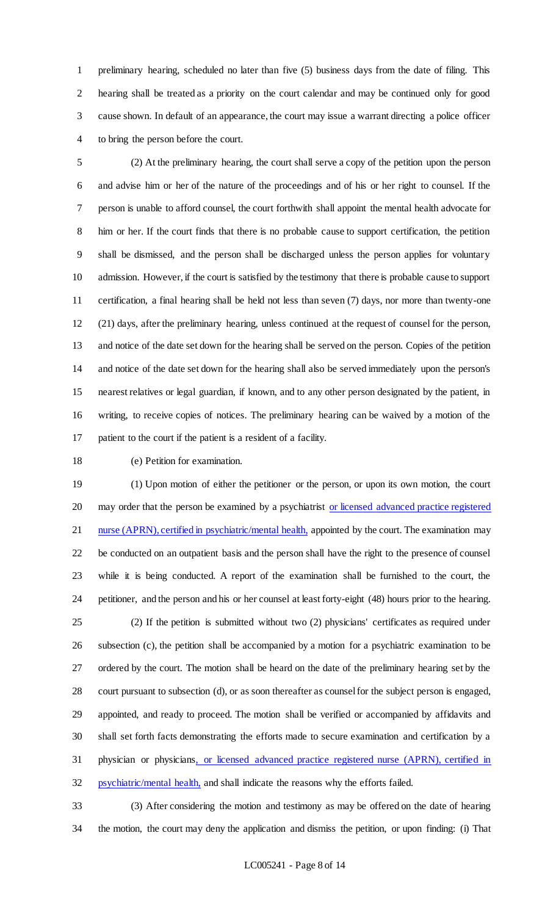preliminary hearing, scheduled no later than five (5) business days from the date of filing. This hearing shall be treated as a priority on the court calendar and may be continued only for good cause shown. In default of an appearance, the court may issue a warrant directing a police officer to bring the person before the court.

 (2) At the preliminary hearing, the court shall serve a copy of the petition upon the person and advise him or her of the nature of the proceedings and of his or her right to counsel. If the person is unable to afford counsel, the court forthwith shall appoint the mental health advocate for him or her. If the court finds that there is no probable cause to support certification, the petition shall be dismissed, and the person shall be discharged unless the person applies for voluntary admission. However, if the court is satisfied by the testimony that there is probable cause to support certification, a final hearing shall be held not less than seven (7) days, nor more than twenty-one (21) days, after the preliminary hearing, unless continued at the request of counsel for the person, and notice of the date set down for the hearing shall be served on the person. Copies of the petition and notice of the date set down for the hearing shall also be served immediately upon the person's nearest relatives or legal guardian, if known, and to any other person designated by the patient, in writing, to receive copies of notices. The preliminary hearing can be waived by a motion of the patient to the court if the patient is a resident of a facility.

#### (e) Petition for examination.

 (1) Upon motion of either the petitioner or the person, or upon its own motion, the court 20 may order that the person be examined by a psychiatrist or licensed advanced practice registered 21 nurse (APRN), certified in psychiatric/mental health, appointed by the court. The examination may be conducted on an outpatient basis and the person shall have the right to the presence of counsel while it is being conducted. A report of the examination shall be furnished to the court, the petitioner, and the person and his or her counsel at least forty-eight (48) hours prior to the hearing. (2) If the petition is submitted without two (2) physicians' certificates as required under subsection (c), the petition shall be accompanied by a motion for a psychiatric examination to be ordered by the court. The motion shall be heard on the date of the preliminary hearing set by the court pursuant to subsection (d), or as soon thereafter as counsel for the subject person is engaged, appointed, and ready to proceed. The motion shall be verified or accompanied by affidavits and shall set forth facts demonstrating the efforts made to secure examination and certification by a physician or physicians, or licensed advanced practice registered nurse (APRN), certified in psychiatric/mental health, and shall indicate the reasons why the efforts failed.

 (3) After considering the motion and testimony as may be offered on the date of hearing the motion, the court may deny the application and dismiss the petition, or upon finding: (i) That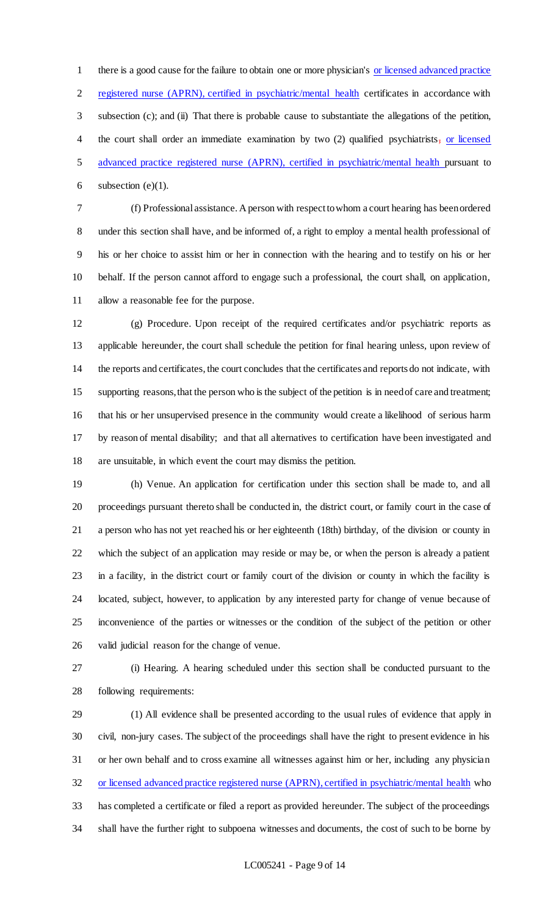there is a good cause for the failure to obtain one or more physician's or licensed advanced practice registered nurse (APRN), certified in psychiatric/mental health certificates in accordance with subsection (c); and (ii) That there is probable cause to substantiate the allegations of the petition, the court shall order an immediate examination by two (2) qualified psychiatrists, or licensed advanced practice registered nurse (APRN), certified in psychiatric/mental health pursuant to 6 subsection  $(e)(1)$ .

 (f) Professional assistance. A person with respect to whom a court hearing has been ordered under this section shall have, and be informed of, a right to employ a mental health professional of his or her choice to assist him or her in connection with the hearing and to testify on his or her behalf. If the person cannot afford to engage such a professional, the court shall, on application, allow a reasonable fee for the purpose.

 (g) Procedure. Upon receipt of the required certificates and/or psychiatric reports as applicable hereunder, the court shall schedule the petition for final hearing unless, upon review of the reports and certificates, the court concludes that the certificates and reports do not indicate, with supporting reasons, that the person who is the subject of the petition is in need of care and treatment; that his or her unsupervised presence in the community would create a likelihood of serious harm by reason of mental disability; and that all alternatives to certification have been investigated and are unsuitable, in which event the court may dismiss the petition.

 (h) Venue. An application for certification under this section shall be made to, and all proceedings pursuant thereto shall be conducted in, the district court, or family court in the case of a person who has not yet reached his or her eighteenth (18th) birthday, of the division or county in which the subject of an application may reside or may be, or when the person is already a patient in a facility, in the district court or family court of the division or county in which the facility is located, subject, however, to application by any interested party for change of venue because of inconvenience of the parties or witnesses or the condition of the subject of the petition or other valid judicial reason for the change of venue.

 (i) Hearing. A hearing scheduled under this section shall be conducted pursuant to the following requirements:

 (1) All evidence shall be presented according to the usual rules of evidence that apply in civil, non-jury cases. The subject of the proceedings shall have the right to present evidence in his or her own behalf and to cross examine all witnesses against him or her, including any physician or licensed advanced practice registered nurse (APRN), certified in psychiatric/mental health who has completed a certificate or filed a report as provided hereunder. The subject of the proceedings shall have the further right to subpoena witnesses and documents, the cost of such to be borne by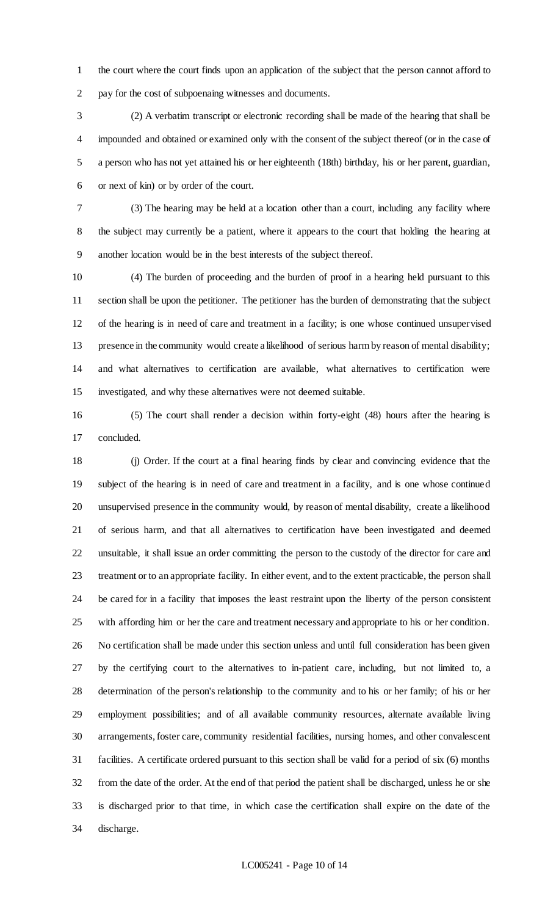the court where the court finds upon an application of the subject that the person cannot afford to pay for the cost of subpoenaing witnesses and documents.

 (2) A verbatim transcript or electronic recording shall be made of the hearing that shall be impounded and obtained or examined only with the consent of the subject thereof (or in the case of a person who has not yet attained his or her eighteenth (18th) birthday, his or her parent, guardian, or next of kin) or by order of the court.

 (3) The hearing may be held at a location other than a court, including any facility where the subject may currently be a patient, where it appears to the court that holding the hearing at another location would be in the best interests of the subject thereof.

 (4) The burden of proceeding and the burden of proof in a hearing held pursuant to this section shall be upon the petitioner. The petitioner has the burden of demonstrating that the subject of the hearing is in need of care and treatment in a facility; is one whose continued unsupervised presence in the community would create a likelihood of serious harm by reason of mental disability; and what alternatives to certification are available, what alternatives to certification were investigated, and why these alternatives were not deemed suitable.

 (5) The court shall render a decision within forty-eight (48) hours after the hearing is concluded.

 (j) Order. If the court at a final hearing finds by clear and convincing evidence that the subject of the hearing is in need of care and treatment in a facility, and is one whose continued unsupervised presence in the community would, by reason of mental disability, create a likelihood of serious harm, and that all alternatives to certification have been investigated and deemed unsuitable, it shall issue an order committing the person to the custody of the director for care and treatment or to an appropriate facility. In either event, and to the extent practicable, the person shall be cared for in a facility that imposes the least restraint upon the liberty of the person consistent with affording him or her the care and treatment necessary and appropriate to his or her condition. No certification shall be made under this section unless and until full consideration has been given by the certifying court to the alternatives to in-patient care, including, but not limited to, a determination of the person's relationship to the community and to his or her family; of his or her employment possibilities; and of all available community resources, alternate available living arrangements, foster care, community residential facilities, nursing homes, and other convalescent facilities. A certificate ordered pursuant to this section shall be valid for a period of six (6) months from the date of the order. At the end of that period the patient shall be discharged, unless he or she is discharged prior to that time, in which case the certification shall expire on the date of the discharge.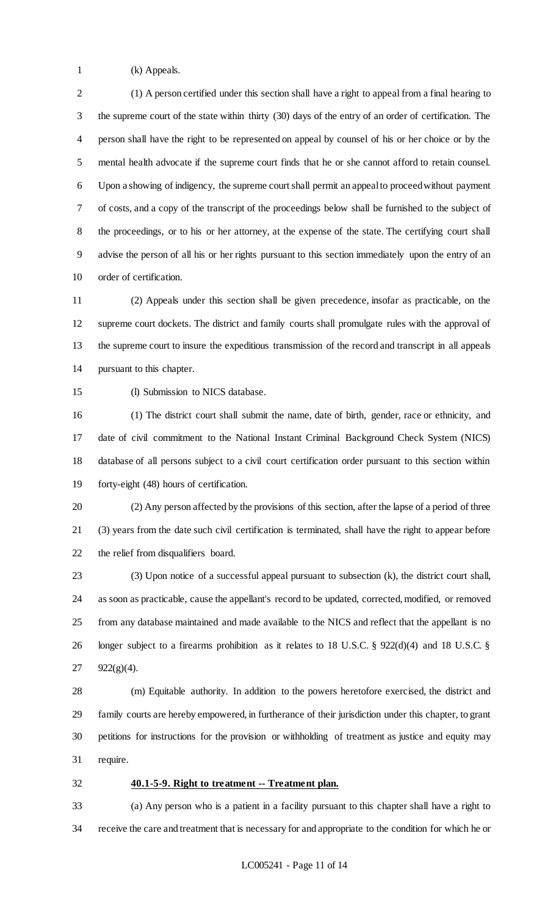(k) Appeals.

 (1) A person certified under this section shall have a right to appeal from a final hearing to the supreme court of the state within thirty (30) days of the entry of an order of certification. The person shall have the right to be represented on appeal by counsel of his or her choice or by the mental health advocate if the supreme court finds that he or she cannot afford to retain counsel. Upon a showing of indigency, the supreme court shall permit an appeal to proceed without payment of costs, and a copy of the transcript of the proceedings below shall be furnished to the subject of the proceedings, or to his or her attorney, at the expense of the state. The certifying court shall advise the person of all his or her rights pursuant to this section immediately upon the entry of an order of certification.

 (2) Appeals under this section shall be given precedence, insofar as practicable, on the supreme court dockets. The district and family courts shall promulgate rules with the approval of the supreme court to insure the expeditious transmission of the record and transcript in all appeals pursuant to this chapter.

(l) Submission to NICS database.

 (1) The district court shall submit the name, date of birth, gender, race or ethnicity, and date of civil commitment to the National Instant Criminal Background Check System (NICS) database of all persons subject to a civil court certification order pursuant to this section within forty-eight (48) hours of certification.

 (2) Any person affected by the provisions of this section, after the lapse of a period of three (3) years from the date such civil certification is terminated, shall have the right to appear before the relief from disqualifiers board.

 (3) Upon notice of a successful appeal pursuant to subsection (k), the district court shall, as soon as practicable, cause the appellant's record to be updated, corrected, modified, or removed from any database maintained and made available to the NICS and reflect that the appellant is no longer subject to a firearms prohibition as it relates to 18 U.S.C. § 922(d)(4) and 18 U.S.C. § 922(g)(4).

 (m) Equitable authority. In addition to the powers heretofore exercised, the district and family courts are hereby empowered, in furtherance of their jurisdiction under this chapter, to grant petitions for instructions for the provision or withholding of treatment as justice and equity may require.

**40.1-5-9. Right to treatment -- Treatment plan.**

 (a) Any person who is a patient in a facility pursuant to this chapter shall have a right to receive the care and treatment that is necessary for and appropriate to the condition for which he or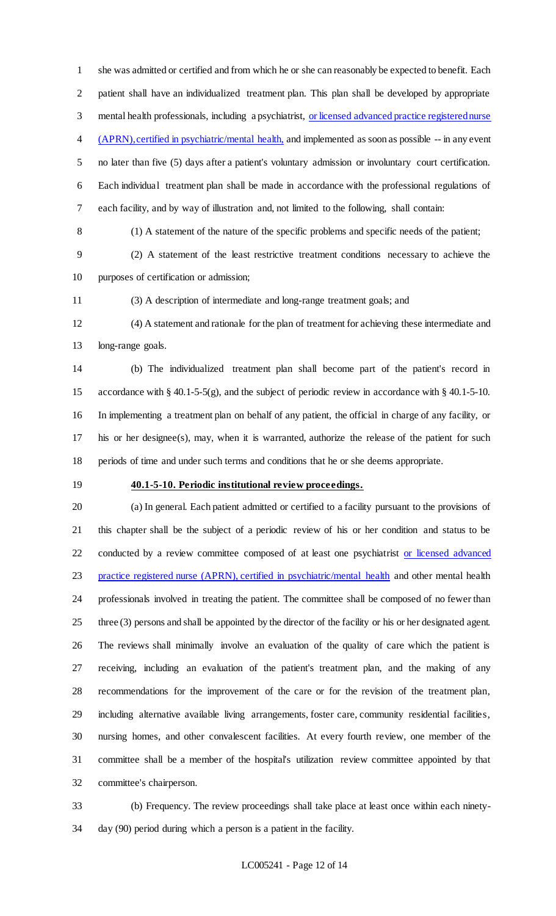she was admitted or certified and from which he or she can reasonably be expected to benefit. Each patient shall have an individualized treatment plan. This plan shall be developed by appropriate mental health professionals, including a psychiatrist, or licensed advanced practice registered nurse 4 (APRN), certified in psychiatric/mental health, and implemented as soon as possible -- in any event no later than five (5) days after a patient's voluntary admission or involuntary court certification. Each individual treatment plan shall be made in accordance with the professional regulations of each facility, and by way of illustration and, not limited to the following, shall contain:

(1) A statement of the nature of the specific problems and specific needs of the patient;

 (2) A statement of the least restrictive treatment conditions necessary to achieve the purposes of certification or admission;

(3) A description of intermediate and long-range treatment goals; and

 (4) A statement and rationale for the plan of treatment for achieving these intermediate and long-range goals.

 (b) The individualized treatment plan shall become part of the patient's record in accordance with § 40.1-5-5(g), and the subject of periodic review in accordance with § 40.1-5-10. In implementing a treatment plan on behalf of any patient, the official in charge of any facility, or his or her designee(s), may, when it is warranted, authorize the release of the patient for such periods of time and under such terms and conditions that he or she deems appropriate.

## **40.1-5-10. Periodic institutional review proceedings.**

 (a) In general. Each patient admitted or certified to a facility pursuant to the provisions of this chapter shall be the subject of a periodic review of his or her condition and status to be 22 conducted by a review committee composed of at least one psychiatrist or licensed advanced 23 practice registered nurse (APRN), certified in psychiatric/mental health and other mental health professionals involved in treating the patient. The committee shall be composed of no fewer than three (3) persons and shall be appointed by the director of the facility or his or her designated agent. The reviews shall minimally involve an evaluation of the quality of care which the patient is receiving, including an evaluation of the patient's treatment plan, and the making of any recommendations for the improvement of the care or for the revision of the treatment plan, including alternative available living arrangements, foster care, community residential facilities, nursing homes, and other convalescent facilities. At every fourth review, one member of the committee shall be a member of the hospital's utilization review committee appointed by that committee's chairperson.

 (b) Frequency. The review proceedings shall take place at least once within each ninety-day (90) period during which a person is a patient in the facility.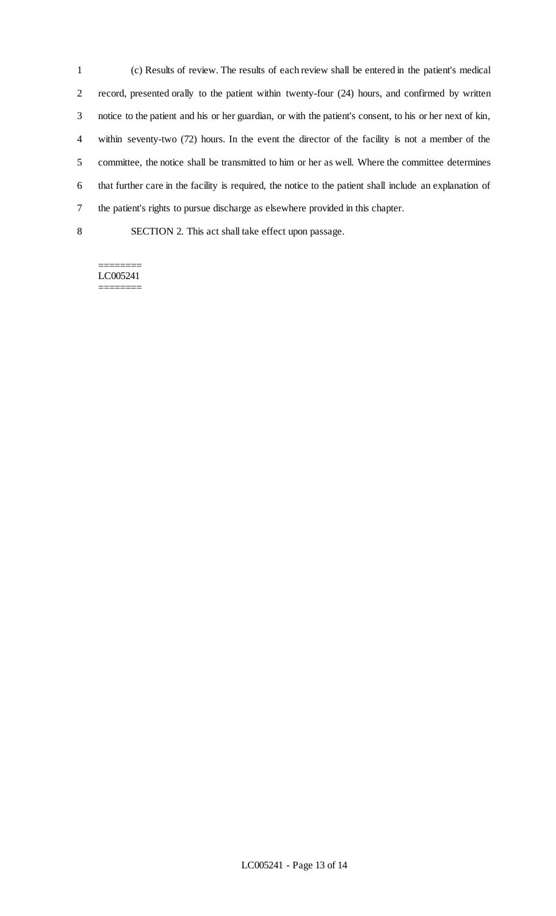(c) Results of review. The results of each review shall be entered in the patient's medical record, presented orally to the patient within twenty-four (24) hours, and confirmed by written notice to the patient and his or her guardian, or with the patient's consent, to his or her next of kin, within seventy-two (72) hours. In the event the director of the facility is not a member of the committee, the notice shall be transmitted to him or her as well. Where the committee determines that further care in the facility is required, the notice to the patient shall include an explanation of the patient's rights to pursue discharge as elsewhere provided in this chapter.

SECTION 2. This act shall take effect upon passage.

======== LC005241 ========